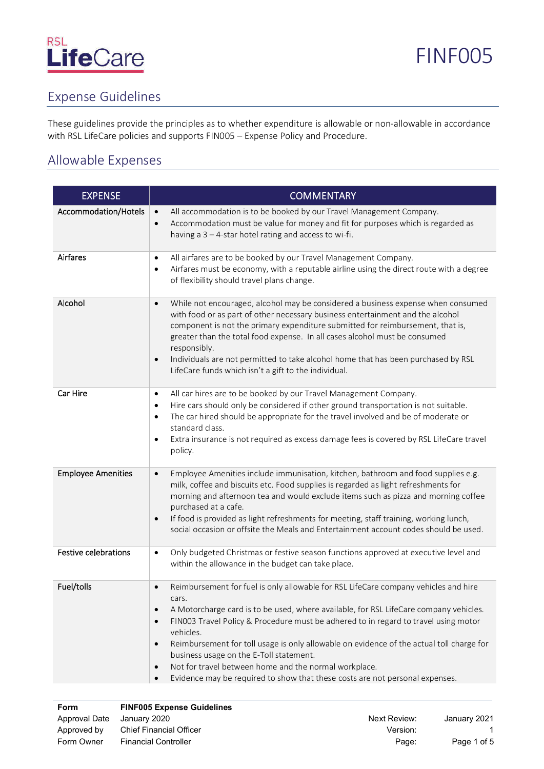### Expense Guidelines

These guidelines provide the principles as to whether expenditure is allowable or non-allowable in accordance with RSL LifeCare policies and supports FIN005 – Expense Policy and Procedure.

### Allowable Expenses

| <b>EXPENSE</b>              | <b>COMMENTARY</b>                                                                                                                                                                                                                                                                                                                                                                                                                                                                                                                                                                                                |  |
|-----------------------------|------------------------------------------------------------------------------------------------------------------------------------------------------------------------------------------------------------------------------------------------------------------------------------------------------------------------------------------------------------------------------------------------------------------------------------------------------------------------------------------------------------------------------------------------------------------------------------------------------------------|--|
| Accommodation/Hotels        | All accommodation is to be booked by our Travel Management Company.<br>$\bullet$<br>Accommodation must be value for money and fit for purposes which is regarded as<br>$\bullet$<br>having a $3 - 4$ -star hotel rating and access to wi-fi.                                                                                                                                                                                                                                                                                                                                                                     |  |
| Airfares                    | All airfares are to be booked by our Travel Management Company.<br>$\bullet$<br>Airfares must be economy, with a reputable airline using the direct route with a degree<br>$\bullet$<br>of flexibility should travel plans change.                                                                                                                                                                                                                                                                                                                                                                               |  |
| Alcohol                     | While not encouraged, alcohol may be considered a business expense when consumed<br>$\bullet$<br>with food or as part of other necessary business entertainment and the alcohol<br>component is not the primary expenditure submitted for reimbursement, that is,<br>greater than the total food expense. In all cases alcohol must be consumed<br>responsibly.<br>Individuals are not permitted to take alcohol home that has been purchased by RSL<br>$\bullet$<br>LifeCare funds which isn't a gift to the individual.                                                                                        |  |
| Car Hire                    | All car hires are to be booked by our Travel Management Company.<br>$\bullet$<br>Hire cars should only be considered if other ground transportation is not suitable.<br>$\bullet$<br>The car hired should be appropriate for the travel involved and be of moderate or<br>$\bullet$<br>standard class.<br>Extra insurance is not required as excess damage fees is covered by RSL LifeCare travel<br>$\bullet$<br>policy.                                                                                                                                                                                        |  |
| <b>Employee Amenities</b>   | Employee Amenities include immunisation, kitchen, bathroom and food supplies e.g.<br>$\bullet$<br>milk, coffee and biscuits etc. Food supplies is regarded as light refreshments for<br>morning and afternoon tea and would exclude items such as pizza and morning coffee<br>purchased at a cafe.<br>If food is provided as light refreshments for meeting, staff training, working lunch,<br>$\bullet$<br>social occasion or offsite the Meals and Entertainment account codes should be used.                                                                                                                 |  |
| <b>Festive celebrations</b> | Only budgeted Christmas or festive season functions approved at executive level and<br>$\bullet$<br>within the allowance in the budget can take place.                                                                                                                                                                                                                                                                                                                                                                                                                                                           |  |
| Fuel/tolls                  | Reimbursement for fuel is only allowable for RSL LifeCare company vehicles and hire<br>$\bullet$<br>cars.<br>A Motorcharge card is to be used, where available, for RSL LifeCare company vehicles.<br>FIN003 Travel Policy & Procedure must be adhered to in regard to travel using motor<br>vehicles.<br>Reimbursement for toll usage is only allowable on evidence of the actual toll charge for<br>$\bullet$<br>business usage on the E-Toll statement.<br>Not for travel between home and the normal workplace.<br>$\bullet$<br>Evidence may be required to show that these costs are not personal expenses. |  |

| Form          | <b>FINF005 Expense Guidelines</b> |              |              |
|---------------|-----------------------------------|--------------|--------------|
| Approval Date | Januarv 2020                      | Next Review: | January 2021 |
| Approved by   | <b>Chief Financial Officer</b>    | Version:     |              |
| Form Owner    | <b>Financial Controller</b>       | Page:        | Page 1 of 5  |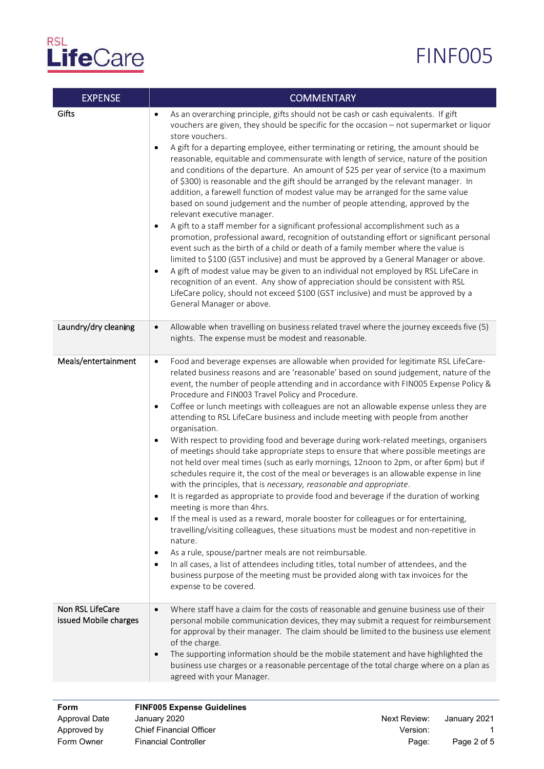### FINF005

| <b>EXPENSE</b>                            | <b>COMMENTARY</b>                                                                                                                                                                                                                                                                                                                                                                                                                                                                                                                                                                                                                                                                                                                                                                                                                                                                                                                                                                                                                                                                                                                                                                                                                                                                                                                                                                                                                                                                                                                                                                                                          |  |  |
|-------------------------------------------|----------------------------------------------------------------------------------------------------------------------------------------------------------------------------------------------------------------------------------------------------------------------------------------------------------------------------------------------------------------------------------------------------------------------------------------------------------------------------------------------------------------------------------------------------------------------------------------------------------------------------------------------------------------------------------------------------------------------------------------------------------------------------------------------------------------------------------------------------------------------------------------------------------------------------------------------------------------------------------------------------------------------------------------------------------------------------------------------------------------------------------------------------------------------------------------------------------------------------------------------------------------------------------------------------------------------------------------------------------------------------------------------------------------------------------------------------------------------------------------------------------------------------------------------------------------------------------------------------------------------------|--|--|
| Gifts                                     | As an overarching principle, gifts should not be cash or cash equivalents. If gift<br>$\bullet$<br>vouchers are given, they should be specific for the occasion - not supermarket or liquor<br>store vouchers.<br>A gift for a departing employee, either terminating or retiring, the amount should be<br>$\bullet$<br>reasonable, equitable and commensurate with length of service, nature of the position<br>and conditions of the departure. An amount of \$25 per year of service (to a maximum<br>of \$300) is reasonable and the gift should be arranged by the relevant manager. In<br>addition, a farewell function of modest value may be arranged for the same value<br>based on sound judgement and the number of people attending, approved by the<br>relevant executive manager.<br>A gift to a staff member for a significant professional accomplishment such as a<br>$\bullet$<br>promotion, professional award, recognition of outstanding effort or significant personal<br>event such as the birth of a child or death of a family member where the value is<br>limited to \$100 (GST inclusive) and must be approved by a General Manager or above.<br>A gift of modest value may be given to an individual not employed by RSL LifeCare in<br>$\bullet$<br>recognition of an event. Any show of appreciation should be consistent with RSL<br>LifeCare policy, should not exceed \$100 (GST inclusive) and must be approved by a<br>General Manager or above.                                                                                                                                       |  |  |
| Laundry/dry cleaning                      | Allowable when travelling on business related travel where the journey exceeds five (5)<br>$\bullet$<br>nights. The expense must be modest and reasonable.                                                                                                                                                                                                                                                                                                                                                                                                                                                                                                                                                                                                                                                                                                                                                                                                                                                                                                                                                                                                                                                                                                                                                                                                                                                                                                                                                                                                                                                                 |  |  |
| Meals/entertainment                       | Food and beverage expenses are allowable when provided for legitimate RSL LifeCare-<br>$\bullet$<br>related business reasons and are 'reasonable' based on sound judgement, nature of the<br>event, the number of people attending and in accordance with FIN005 Expense Policy &<br>Procedure and FIN003 Travel Policy and Procedure.<br>Coffee or lunch meetings with colleagues are not an allowable expense unless they are<br>$\bullet$<br>attending to RSL LifeCare business and include meeting with people from another<br>organisation.<br>With respect to providing food and beverage during work-related meetings, organisers<br>$\bullet$<br>of meetings should take appropriate steps to ensure that where possible meetings are<br>not held over meal times (such as early mornings, 12noon to 2pm, or after 6pm) but if<br>schedules require it, the cost of the meal or beverages is an allowable expense in line<br>with the principles, that is necessary, reasonable and appropriate.<br>It is regarded as appropriate to provide food and beverage if the duration of working<br>meeting is more than 4hrs.<br>If the meal is used as a reward, morale booster for colleagues or for entertaining,<br>$\bullet$<br>travelling/visiting colleagues, these situations must be modest and non-repetitive in<br>nature.<br>As a rule, spouse/partner meals are not reimbursable.<br>$\bullet$<br>In all cases, a list of attendees including titles, total number of attendees, and the<br>٠<br>business purpose of the meeting must be provided along with tax invoices for the<br>expense to be covered. |  |  |
| Non RSL LifeCare<br>issued Mobile charges | Where staff have a claim for the costs of reasonable and genuine business use of their<br>$\bullet$<br>personal mobile communication devices, they may submit a request for reimbursement<br>for approval by their manager. The claim should be limited to the business use element<br>of the charge.<br>The supporting information should be the mobile statement and have highlighted the<br>$\bullet$<br>business use charges or a reasonable percentage of the total charge where on a plan as<br>agreed with your Manager.                                                                                                                                                                                                                                                                                                                                                                                                                                                                                                                                                                                                                                                                                                                                                                                                                                                                                                                                                                                                                                                                                            |  |  |

| Next Review: | January 2021 |
|--------------|--------------|
| Version:     |              |
| Page:        | Page 2 of 5  |
|              |              |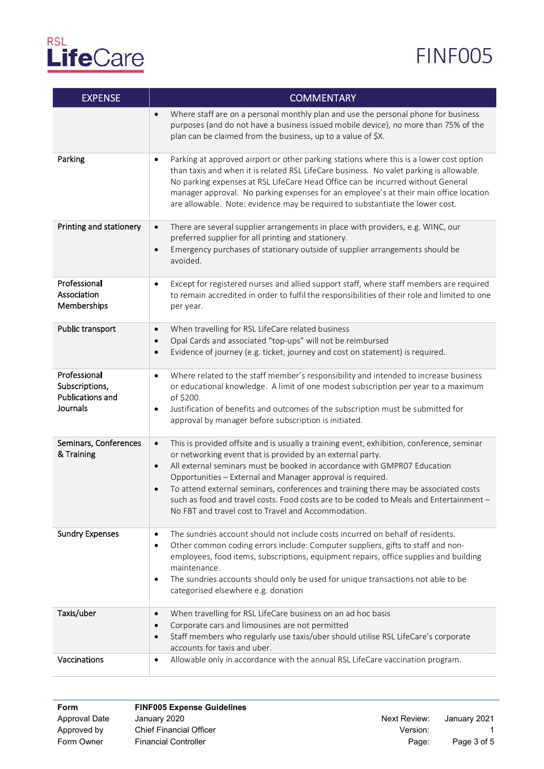| <b>EXPENSE</b>                                                        | <b>COMMENTARY</b>                                                                                                                                                                                                                                                                                                                                                                                                                                                                                                                                                                |  |
|-----------------------------------------------------------------------|----------------------------------------------------------------------------------------------------------------------------------------------------------------------------------------------------------------------------------------------------------------------------------------------------------------------------------------------------------------------------------------------------------------------------------------------------------------------------------------------------------------------------------------------------------------------------------|--|
|                                                                       | Where staff are on a personal monthly plan and use the personal phone for business<br>$\bullet$<br>purposes (and do not have a business issued mobile device), no more than 75% of the<br>plan can be claimed from the business, up to a value of \$X.                                                                                                                                                                                                                                                                                                                           |  |
| Parking                                                               | Parking at approved airport or other parking stations where this is a lower cost option<br>$\bullet$<br>than taxis and when it is related RSL LifeCare business. No valet parking is allowable.<br>No parking expenses at RSL LifeCare Head Office can be incurred without General<br>manager approval. No parking expenses for an employee's at their main office location<br>are allowable. Note: evidence may be required to substantiate the lower cost.                                                                                                                     |  |
| Printing and stationery                                               | There are several supplier arrangements in place with providers, e.g. WINC, our<br>$\bullet$<br>preferred supplier for all printing and stationery.<br>Emergency purchases of stationary outside of supplier arrangements should be<br>$\bullet$<br>avoided.                                                                                                                                                                                                                                                                                                                     |  |
| Professional<br>Association<br>Memberships                            | Except for registered nurses and allied support staff, where staff members are required<br>$\bullet$<br>to remain accredited in order to fulfil the responsibilities of their role and limited to one<br>per year.                                                                                                                                                                                                                                                                                                                                                               |  |
| Public transport                                                      | When travelling for RSL LifeCare related business<br>$\bullet$                                                                                                                                                                                                                                                                                                                                                                                                                                                                                                                   |  |
|                                                                       | Opal Cards and associated "top-ups" will not be reimbursed<br>$\bullet$<br>Evidence of journey (e.g. ticket, journey and cost on statement) is required.<br>$\bullet$                                                                                                                                                                                                                                                                                                                                                                                                            |  |
|                                                                       |                                                                                                                                                                                                                                                                                                                                                                                                                                                                                                                                                                                  |  |
| Professional<br>Subscriptions,<br><b>Publications and</b><br>Journals | Where related to the staff member's responsibility and intended to increase business<br>$\bullet$<br>or educational knowledge. A limit of one modest subscription per year to a maximum<br>of \$200.<br>Justification of benefits and outcomes of the subscription must be submitted for<br>$\bullet$<br>approval by manager before subscription is initiated.                                                                                                                                                                                                                   |  |
|                                                                       |                                                                                                                                                                                                                                                                                                                                                                                                                                                                                                                                                                                  |  |
| Seminars, Conferences<br>& Training                                   | This is provided offsite and is usually a training event, exhibition, conference, seminar<br>$\bullet$<br>or networking event that is provided by an external party.<br>All external seminars must be booked in accordance with GMPR07 Education<br>$\bullet$<br>Opportunities - External and Manager approval is required.<br>To attend external seminars, conferences and training there may be associated costs<br>$\bullet$<br>such as food and travel costs. Food costs are to be coded to Meals and Entertainment -<br>No FBT and travel cost to Travel and Accommodation. |  |
| <b>Sundry Expenses</b>                                                | The sundries account should not include costs incurred on behalf of residents.<br>$\bullet$<br>Other common coding errors include: Computer suppliers, gifts to staff and non-<br>$\bullet$<br>employees, food items, subscriptions, equipment repairs, office supplies and building<br>maintenance.<br>The sundries accounts should only be used for unique transactions not able to be<br>٠<br>categorised elsewhere e.g. donation                                                                                                                                             |  |
| Taxis/uber                                                            | When travelling for RSL LifeCare business on an ad hoc basis<br>$\bullet$                                                                                                                                                                                                                                                                                                                                                                                                                                                                                                        |  |
|                                                                       | Corporate cars and limousines are not permitted<br>$\bullet$                                                                                                                                                                                                                                                                                                                                                                                                                                                                                                                     |  |
|                                                                       | Staff members who regularly use taxis/uber should utilise RSL LifeCare's corporate<br>$\bullet$<br>accounts for taxis and uber.                                                                                                                                                                                                                                                                                                                                                                                                                                                  |  |
| Vaccinations                                                          | Allowable only in accordance with the annual RSL LifeCare vaccination program.<br>$\bullet$                                                                                                                                                                                                                                                                                                                                                                                                                                                                                      |  |

| Form          | <b>FINF005 Expense Guidelines</b> |              |              |
|---------------|-----------------------------------|--------------|--------------|
| Approval Date | January 2020                      | Next Review: | January 2021 |
| Approved by   | Chief Financial Officer           | Version:     |              |
| Form Owner    | <b>Financial Controller</b>       | Page:        | Page 3 of 5  |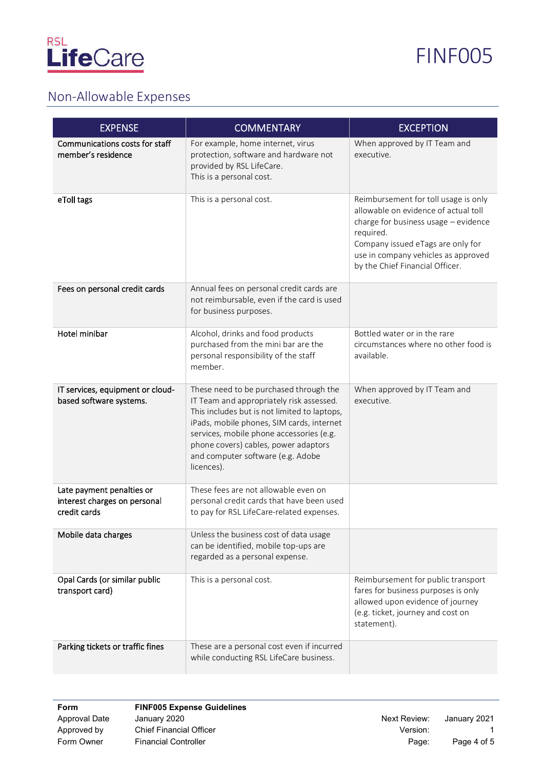



#### Non-Allowable Expenses

| <b>EXPENSE</b>                                                            | <b>COMMENTARY</b>                                                                                                                                                                                                                                                                                                      | <b>EXCEPTION</b>                                                                                                                                                                                                                                 |  |
|---------------------------------------------------------------------------|------------------------------------------------------------------------------------------------------------------------------------------------------------------------------------------------------------------------------------------------------------------------------------------------------------------------|--------------------------------------------------------------------------------------------------------------------------------------------------------------------------------------------------------------------------------------------------|--|
| Communications costs for staff<br>member's residence                      | For example, home internet, virus<br>protection, software and hardware not<br>provided by RSL LifeCare.<br>This is a personal cost.                                                                                                                                                                                    | When approved by IT Team and<br>executive.                                                                                                                                                                                                       |  |
| eToll tags                                                                | This is a personal cost.                                                                                                                                                                                                                                                                                               | Reimbursement for toll usage is only<br>allowable on evidence of actual toll<br>charge for business usage - evidence<br>required.<br>Company issued eTags are only for<br>use in company vehicles as approved<br>by the Chief Financial Officer. |  |
| Fees on personal credit cards                                             | Annual fees on personal credit cards are<br>not reimbursable, even if the card is used<br>for business purposes.                                                                                                                                                                                                       |                                                                                                                                                                                                                                                  |  |
| Hotel minibar                                                             | Alcohol, drinks and food products<br>purchased from the mini bar are the<br>personal responsibility of the staff<br>member.                                                                                                                                                                                            | Bottled water or in the rare<br>circumstances where no other food is<br>available.                                                                                                                                                               |  |
| IT services, equipment or cloud-<br>based software systems.               | These need to be purchased through the<br>IT Team and appropriately risk assessed.<br>This includes but is not limited to laptops,<br>iPads, mobile phones, SIM cards, internet<br>services, mobile phone accessories (e.g.<br>phone covers) cables, power adaptors<br>and computer software (e.g. Adobe<br>licences). | When approved by IT Team and<br>executive.                                                                                                                                                                                                       |  |
| Late payment penalties or<br>interest charges on personal<br>credit cards | These fees are not allowable even on<br>personal credit cards that have been used<br>to pay for RSL LifeCare-related expenses.                                                                                                                                                                                         |                                                                                                                                                                                                                                                  |  |
| Mobile data charges                                                       | Unless the business cost of data usage<br>can be identified, mobile top-ups are<br>regarded as a personal expense.                                                                                                                                                                                                     |                                                                                                                                                                                                                                                  |  |
| Opal Cards (or similar public<br>transport card)                          | This is a personal cost.                                                                                                                                                                                                                                                                                               | Reimbursement for public transport<br>fares for business purposes is only<br>allowed upon evidence of journey<br>(e.g. ticket, journey and cost on<br>statement).                                                                                |  |
| Parking tickets or traffic fines                                          | These are a personal cost even if incurred<br>while conducting RSL LifeCare business.                                                                                                                                                                                                                                  |                                                                                                                                                                                                                                                  |  |